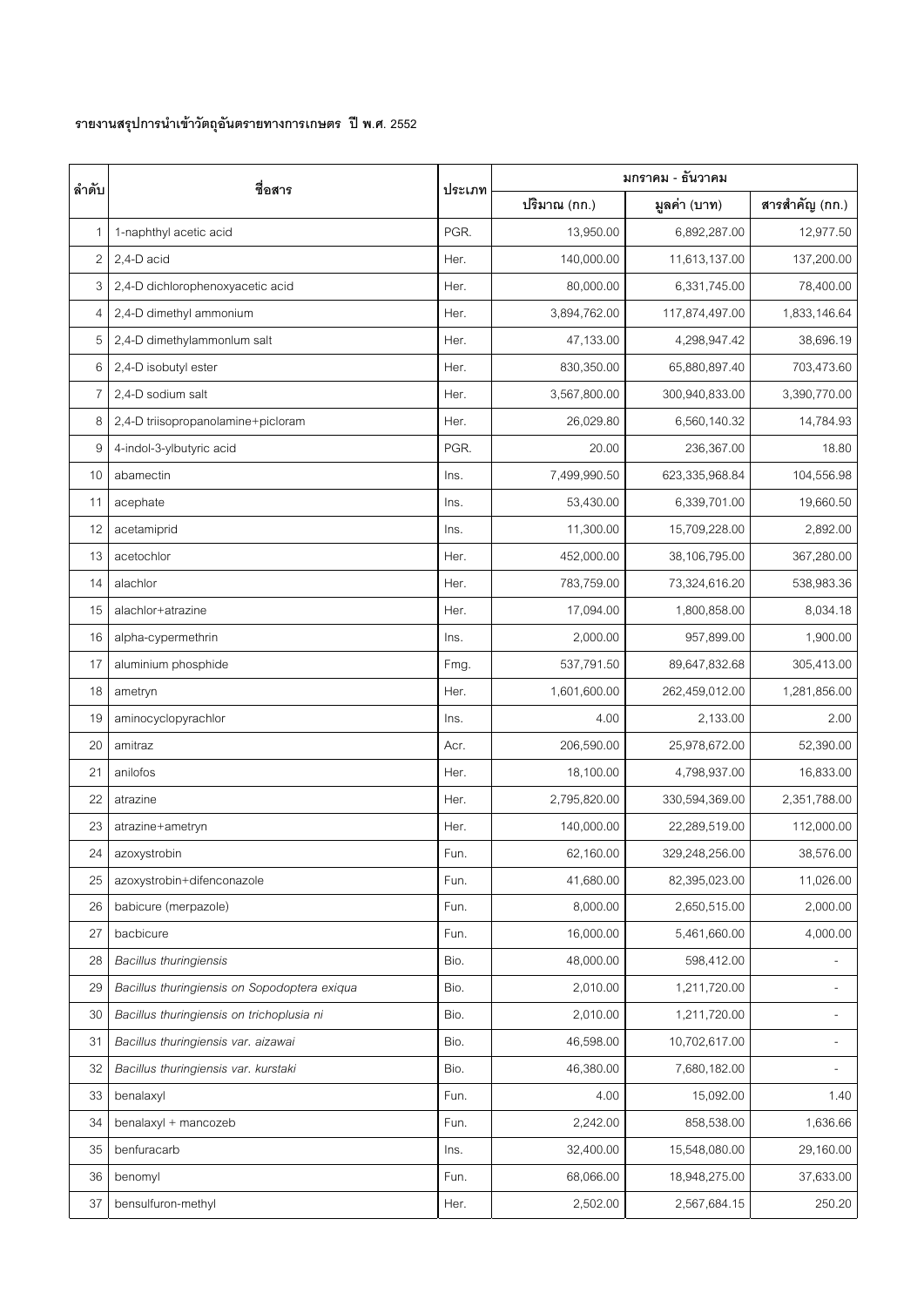## **รายงานสรุปการนําเขาวัตถุอันตรายทางการเกษตร ปพ.ศ. 2552**

| ลำดับ          | ชื่อสาร                                      | ประเภท | มกราคม - ธันวาคม |                |                |
|----------------|----------------------------------------------|--------|------------------|----------------|----------------|
|                |                                              |        | ปริมาณ (กก.)     | มูลค่า (บาท)   | สารสำคัญ (กก.) |
| 1              | 1-naphthyl acetic acid                       | PGR.   | 13,950.00        | 6,892,287.00   | 12,977.50      |
| $\overline{c}$ | 2,4-D acid                                   | Her.   | 140,000.00       | 11,613,137.00  | 137,200.00     |
| 3              | 2,4-D dichlorophenoxyacetic acid             | Her.   | 80,000.00        | 6,331,745.00   | 78,400.00      |
| 4              | 2,4-D dimethyl ammonium                      | Her.   | 3,894,762.00     | 117,874,497.00 | 1,833,146.64   |
| 5              | 2,4-D dimethylammonlum salt                  | Her.   | 47,133.00        | 4,298,947.42   | 38,696.19      |
| 6              | 2,4-D isobutyl ester                         | Her.   | 830,350.00       | 65,880,897.40  | 703,473.60     |
| $\overline{7}$ | 2,4-D sodium salt                            | Her.   | 3,567,800.00     | 300,940,833.00 | 3,390,770.00   |
| 8              | 2,4-D triisopropanolamine+picloram           | Her.   | 26,029.80        | 6,560,140.32   | 14,784.93      |
| 9              | 4-indol-3-ylbutyric acid                     | PGR.   | 20.00            | 236,367.00     | 18.80          |
| 10             | abamectin                                    | Ins.   | 7,499,990.50     | 623,335,968.84 | 104,556.98     |
| 11             | acephate                                     | Ins.   | 53,430.00        | 6,339,701.00   | 19,660.50      |
| 12             | acetamiprid                                  | Ins.   | 11,300.00        | 15,709,228.00  | 2,892.00       |
| 13             | acetochlor                                   | Her.   | 452,000.00       | 38,106,795.00  | 367,280.00     |
| 14             | alachlor                                     | Her.   | 783,759.00       | 73,324,616.20  | 538,983.36     |
| 15             | alachlor+atrazine                            | Her.   | 17,094.00        | 1,800,858.00   | 8,034.18       |
| 16             | alpha-cypermethrin                           | Ins.   | 2,000.00         | 957,899.00     | 1,900.00       |
| 17             | aluminium phosphide                          | Fmg.   | 537,791.50       | 89,647,832.68  | 305,413.00     |
| 18             | ametryn                                      | Her.   | 1,601,600.00     | 262,459,012.00 | 1,281,856.00   |
| 19             | aminocyclopyrachlor                          | Ins.   | 4.00             | 2,133.00       | 2.00           |
| 20             | amitraz                                      | Acr.   | 206,590.00       | 25,978,672.00  | 52,390.00      |
| 21             | anilofos                                     | Her.   | 18,100.00        | 4,798,937.00   | 16,833.00      |
| 22             | atrazine                                     | Her.   | 2,795,820.00     | 330,594,369.00 | 2,351,788.00   |
| 23             | atrazine+ametryn                             | Her.   | 140,000.00       | 22,289,519.00  | 112,000.00     |
| 24             | azoxystrobin                                 | Fun.   | 62,160.00        | 329,248,256.00 | 38,576.00      |
| 25             | azoxystrobin+difenconazole                   | Fun.   | 41,680.00        | 82,395,023.00  | 11,026.00      |
| 26             | babicure (merpazole)                         | Fun.   | 8,000.00         | 2,650,515.00   | 2,000.00       |
| 27             | bacbicure                                    | Fun.   | 16,000.00        | 5,461,660.00   | 4,000.00       |
| 28             | <b>Bacillus thuringiensis</b>                | Bio.   | 48,000.00        | 598,412.00     |                |
| 29             | Bacillus thuringiensis on Sopodoptera exiqua | Bio.   | 2,010.00         | 1,211,720.00   |                |
| 30             | Bacillus thuringiensis on trichoplusia ni    | Bio.   | 2,010.00         | 1,211,720.00   |                |
| 31             | Bacillus thuringiensis var. aizawai          | Bio.   | 46,598.00        | 10,702,617.00  |                |
| 32             | Bacillus thuringiensis var. kurstaki         | Bio.   | 46,380.00        | 7,680,182.00   |                |
| 33             | benalaxyl                                    | Fun.   | 4.00             | 15,092.00      | 1.40           |
| 34             | benalaxyl + mancozeb                         | Fun.   | 2,242.00         | 858,538.00     | 1,636.66       |
| 35             | benfuracarb                                  | lns.   | 32,400.00        | 15,548,080.00  | 29,160.00      |
| 36             | benomyl                                      | Fun.   | 68,066.00        | 18,948,275.00  | 37,633.00      |
| 37             | bensulfuron-methyl                           | Her.   | 2,502.00         | 2,567,684.15   | 250.20         |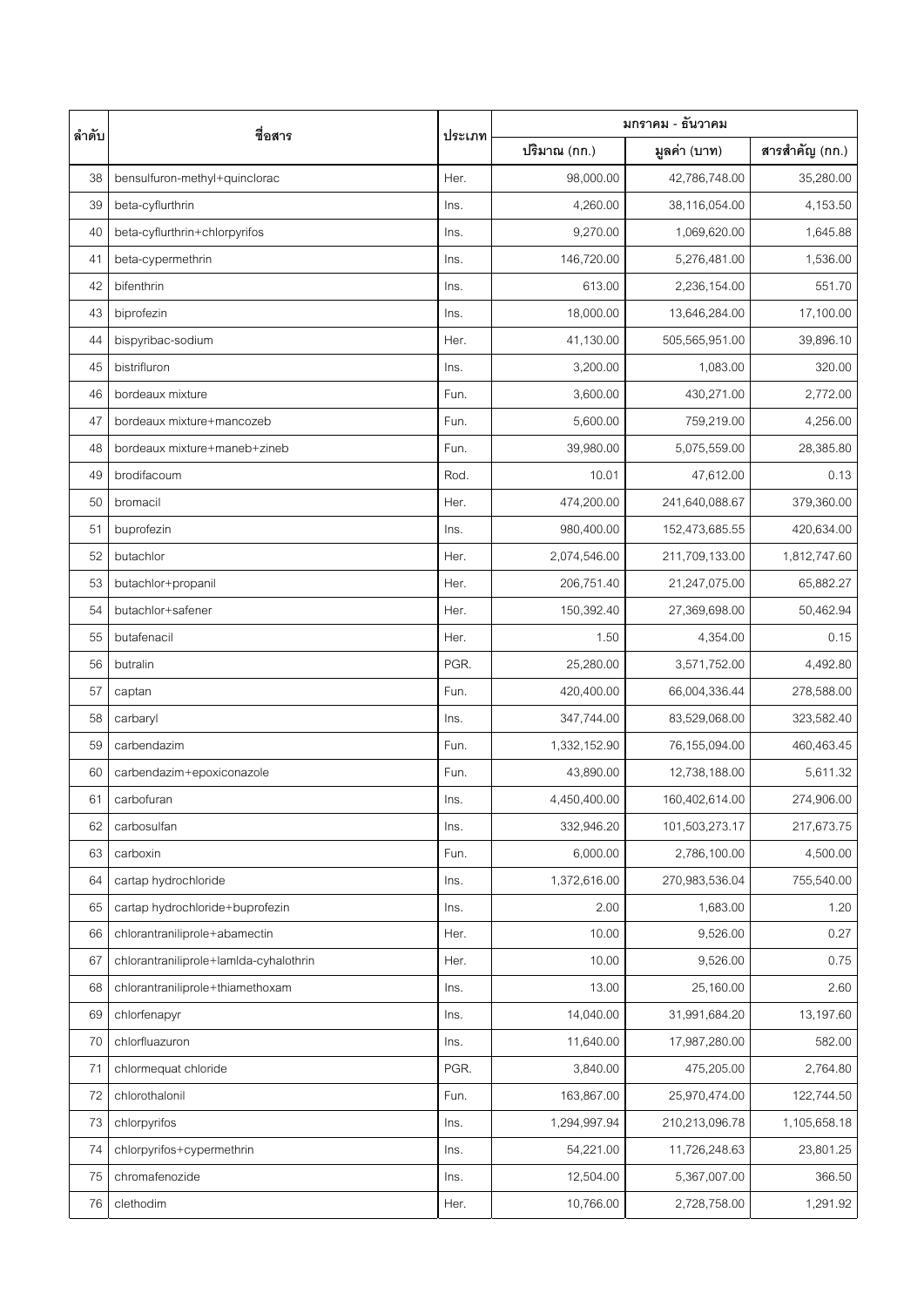| ลำดับ | ชื่อสาร                                | ประเภท | มกราคม - ธันวาคม |                |                |
|-------|----------------------------------------|--------|------------------|----------------|----------------|
|       |                                        |        | ปริมาณ (กก.)     | มูลค่า (บาท)   | สารสำคัญ (กก.) |
| 38    | bensulfuron-methyl+quinclorac          | Her.   | 98,000.00        | 42,786,748.00  | 35,280.00      |
| 39    | beta-cyflurthrin                       | Ins.   | 4,260.00         | 38,116,054.00  | 4,153.50       |
| 40    | beta-cyflurthrin+chlorpyrifos          | Ins.   | 9,270.00         | 1,069,620.00   | 1,645.88       |
| 41    | beta-cypermethrin                      | Ins.   | 146,720.00       | 5,276,481.00   | 1,536.00       |
| 42    | bifenthrin                             | Ins.   | 613.00           | 2,236,154.00   | 551.70         |
| 43    | biprofezin                             | Ins.   | 18,000.00        | 13,646,284.00  | 17,100.00      |
| 44    | bispyribac-sodium                      | Her.   | 41,130.00        | 505,565,951.00 | 39,896.10      |
| 45    | bistrifluron                           | Ins.   | 3,200.00         | 1,083.00       | 320.00         |
| 46    | bordeaux mixture                       | Fun.   | 3,600.00         | 430,271.00     | 2,772.00       |
| 47    | bordeaux mixture+mancozeb              | Fun.   | 5,600.00         | 759,219.00     | 4,256.00       |
| 48    | bordeaux mixture+maneb+zineb           | Fun.   | 39,980.00        | 5,075,559.00   | 28,385.80      |
| 49    | brodifacoum                            | Rod.   | 10.01            | 47,612.00      | 0.13           |
| 50    | bromacil                               | Her.   | 474,200.00       | 241,640,088.67 | 379,360.00     |
| 51    | buprofezin                             | Ins.   | 980,400.00       | 152,473,685.55 | 420,634.00     |
| 52    | butachlor                              | Her.   | 2,074,546.00     | 211,709,133.00 | 1,812,747.60   |
| 53    | butachlor+propanil                     | Her.   | 206,751.40       | 21,247,075.00  | 65,882.27      |
| 54    | butachlor+safener                      | Her.   | 150,392.40       | 27,369,698.00  | 50,462.94      |
| 55    | butafenacil                            | Her.   | 1.50             | 4,354.00       | 0.15           |
| 56    | butralin                               | PGR.   | 25,280.00        | 3,571,752.00   | 4,492.80       |
| 57    | captan                                 | Fun.   | 420,400.00       | 66,004,336.44  | 278,588.00     |
| 58    | carbaryl                               | Ins.   | 347,744.00       | 83,529,068.00  | 323,582.40     |
| 59    | carbendazim                            | Fun.   | 1,332,152.90     | 76,155,094.00  | 460,463.45     |
| 60    | carbendazim+epoxiconazole              | Fun.   | 43,890.00        | 12,738,188.00  | 5,611.32       |
| 61    | carbofuran                             | Ins.   | 4,450,400.00     | 160,402,614.00 | 274,906.00     |
| 62    | carbosulfan                            | Ins.   | 332,946.20       | 101,503,273.17 | 217,673.75     |
| 63    | carboxin                               | Fun.   | 6,000.00         | 2,786,100.00   | 4,500.00       |
| 64    | cartap hydrochloride                   | Ins.   | 1,372,616.00     | 270,983,536.04 | 755,540.00     |
| 65    | cartap hydrochloride+buprofezin        | Ins.   | 2.00             | 1,683.00       | 1.20           |
| 66    | chlorantraniliprole+abamectin          | Her.   | 10.00            | 9,526.00       | 0.27           |
| 67    | chlorantraniliprole+lamlda-cyhalothrin | Her.   | 10.00            | 9,526.00       | 0.75           |
| 68    | chlorantraniliprole+thiamethoxam       | Ins.   | 13.00            | 25,160.00      | 2.60           |
| 69    | chlorfenapyr                           | Ins.   | 14,040.00        | 31,991,684.20  | 13,197.60      |
| 70    | chlorfluazuron                         | Ins.   | 11,640.00        | 17,987,280.00  | 582.00         |
| 71    | chlormequat chloride                   | PGR.   | 3,840.00         | 475,205.00     | 2,764.80       |
| 72    | chlorothalonil                         | Fun.   | 163,867.00       | 25,970,474.00  | 122,744.50     |
| 73    | chlorpyrifos                           | Ins.   | 1,294,997.94     | 210,213,096.78 | 1,105,658.18   |
| 74    | chlorpyrifos+cypermethrin              | lns.   | 54,221.00        | 11,726,248.63  | 23,801.25      |
| 75    | chromafenozide                         | Ins.   | 12,504.00        | 5,367,007.00   | 366.50         |
| 76    | clethodim                              | Her.   | 10,766.00        | 2,728,758.00   | 1,291.92       |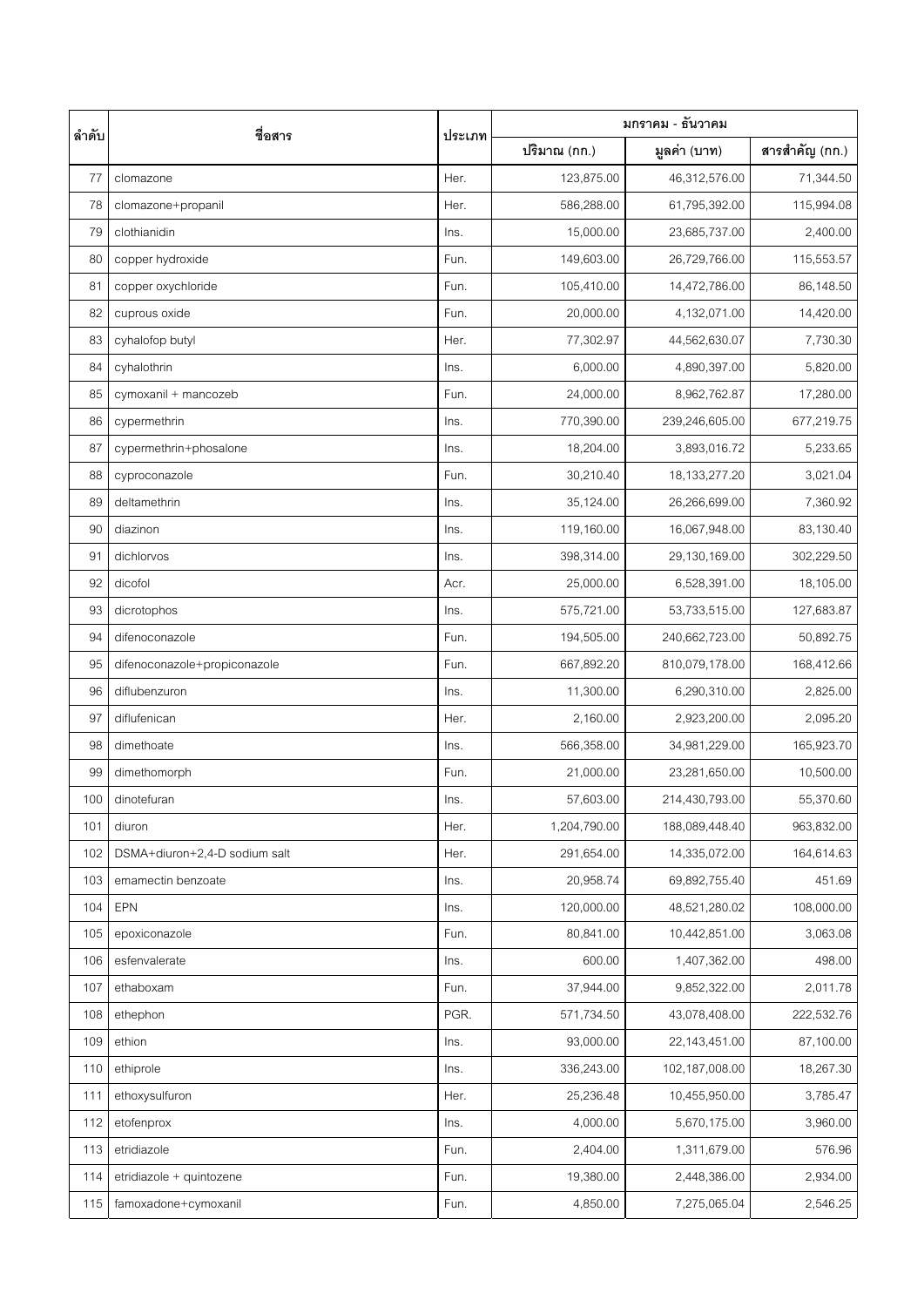| ลำดับ | ชื่อสาร                       | ประเภท | มกราคม - ธันวาคม |                  |                |
|-------|-------------------------------|--------|------------------|------------------|----------------|
|       |                               |        | ปริมาณ (กก.)     | มูลค่า (บาท)     | สารสำคัญ (กก.) |
| 77    | clomazone                     | Her.   | 123,875.00       | 46,312,576.00    | 71,344.50      |
| 78    | clomazone+propanil            | Her.   | 586,288.00       | 61,795,392.00    | 115,994.08     |
| 79    | clothianidin                  | Ins.   | 15,000.00        | 23,685,737.00    | 2,400.00       |
| 80    | copper hydroxide              | Fun.   | 149,603.00       | 26,729,766.00    | 115,553.57     |
| 81    | copper oxychloride            | Fun.   | 105,410.00       | 14,472,786.00    | 86,148.50      |
| 82    | cuprous oxide                 | Fun.   | 20,000.00        | 4,132,071.00     | 14,420.00      |
| 83    | cyhalofop butyl               | Her.   | 77,302.97        | 44,562,630.07    | 7,730.30       |
| 84    | cyhalothrin                   | Ins.   | 6,000.00         | 4,890,397.00     | 5,820.00       |
| 85    | cymoxanil + mancozeb          | Fun.   | 24,000.00        | 8,962,762.87     | 17,280.00      |
| 86    | cypermethrin                  | Ins.   | 770,390.00       | 239,246,605.00   | 677,219.75     |
| 87    | cypermethrin+phosalone        | Ins.   | 18,204.00        | 3,893,016.72     | 5,233.65       |
| 88    | cyproconazole                 | Fun.   | 30,210.40        | 18, 133, 277. 20 | 3,021.04       |
| 89    | deltamethrin                  | Ins.   | 35,124.00        | 26,266,699.00    | 7,360.92       |
| 90    | diazinon                      | Ins.   | 119,160.00       | 16,067,948.00    | 83,130.40      |
| 91    | dichlorvos                    | Ins.   | 398,314.00       | 29,130,169.00    | 302,229.50     |
| 92    | dicofol                       | Acr.   | 25,000.00        | 6,528,391.00     | 18,105.00      |
| 93    | dicrotophos                   | Ins.   | 575,721.00       | 53,733,515.00    | 127,683.87     |
| 94    | difenoconazole                | Fun.   | 194,505.00       | 240,662,723.00   | 50,892.75      |
| 95    | difenoconazole+propiconazole  | Fun.   | 667,892.20       | 810,079,178.00   | 168,412.66     |
| 96    | diflubenzuron                 | Ins.   | 11,300.00        | 6,290,310.00     | 2,825.00       |
| 97    | diflufenican                  | Her.   | 2,160.00         | 2,923,200.00     | 2,095.20       |
| 98    | dimethoate                    | Ins.   | 566,358.00       | 34,981,229.00    | 165,923.70     |
| 99    | dimethomorph                  | Fun.   | 21,000.00        | 23,281,650.00    | 10,500.00      |
| 100   | dinotefuran                   | Ins.   | 57,603.00        | 214,430,793.00   | 55,370.60      |
| 101   | diuron                        | Her.   | 1,204,790.00     | 188,089,448.40   | 963,832.00     |
| 102   | DSMA+diuron+2,4-D sodium salt | Her.   | 291,654.00       | 14,335,072.00    | 164,614.63     |
| 103   | emamectin benzoate            | Ins.   | 20,958.74        | 69,892,755.40    | 451.69         |
| 104   | EPN                           | Ins.   | 120,000.00       | 48,521,280.02    | 108,000.00     |
| 105   | epoxiconazole                 | Fun.   | 80,841.00        | 10,442,851.00    | 3,063.08       |
| 106   | esfenvalerate                 | Ins.   | 600.00           | 1,407,362.00     | 498.00         |
| 107   | ethaboxam                     | Fun.   | 37,944.00        | 9,852,322.00     | 2,011.78       |
| 108   | ethephon                      | PGR.   | 571,734.50       | 43,078,408.00    | 222,532.76     |
| 109   | ethion                        | Ins.   | 93,000.00        | 22,143,451.00    | 87,100.00      |
| 110   | ethiprole                     | Ins.   | 336,243.00       | 102,187,008.00   | 18,267.30      |
| 111   | ethoxysulfuron                | Her.   | 25,236.48        | 10,455,950.00    | 3,785.47       |
| 112   | etofenprox                    | Ins.   | 4,000.00         | 5,670,175.00     | 3,960.00       |
| 113   | etridiazole                   | Fun.   | 2,404.00         | 1,311,679.00     | 576.96         |
| 114   | etridiazole + quintozene      | Fun.   | 19,380.00        | 2,448,386.00     | 2,934.00       |
| 115   | famoxadone+cymoxanil          | Fun.   | 4,850.00         | 7,275,065.04     | 2,546.25       |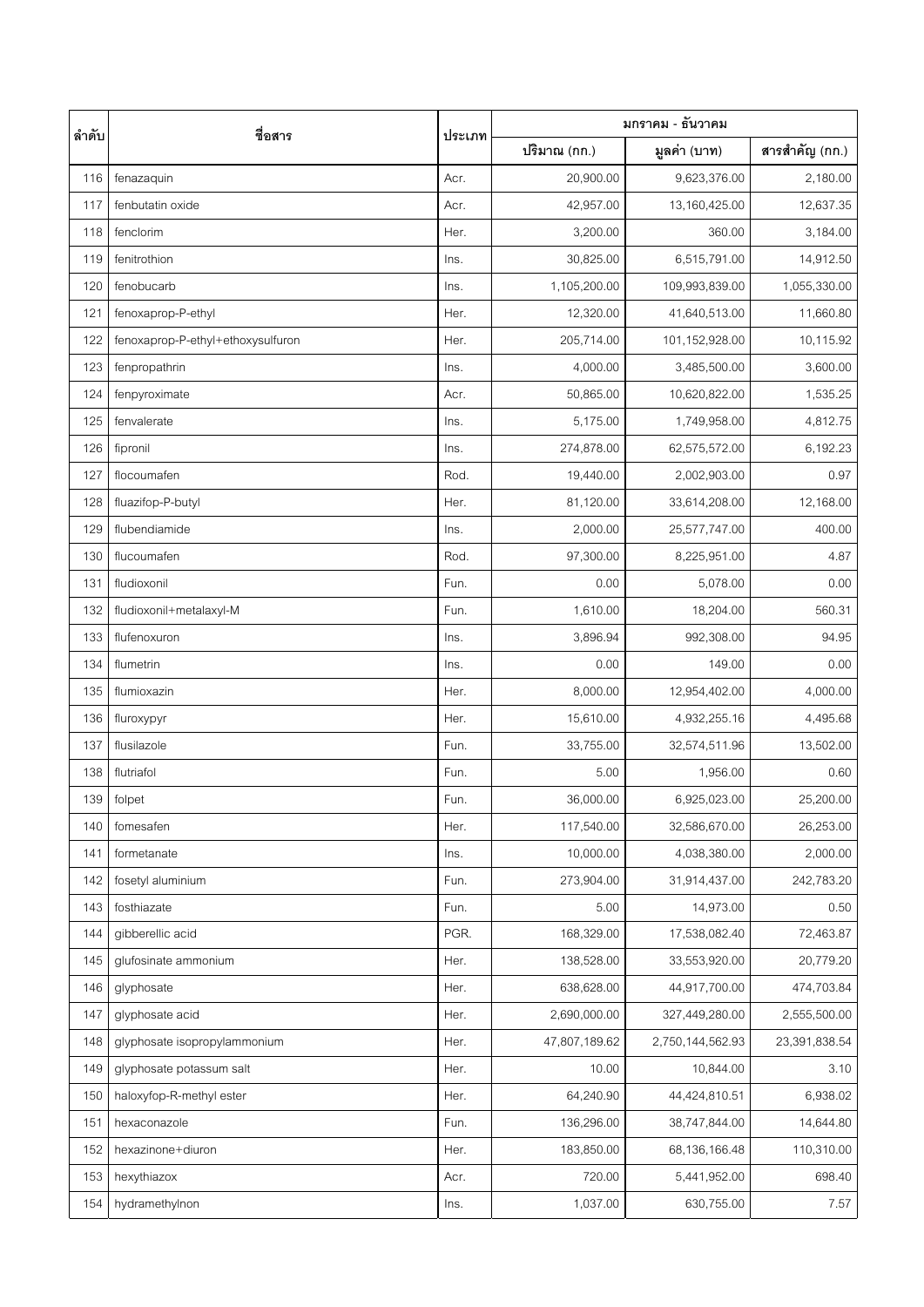| ลำดับ | ชื่อสาร                           | ประเภท | มกราคม - ธันวาคม |                  |                |
|-------|-----------------------------------|--------|------------------|------------------|----------------|
|       |                                   |        | ปริมาณ (กก.)     | มูลค่า (บาท)     | สารสำคัญ (กก.) |
| 116   | fenazaquin                        | Acr.   | 20,900.00        | 9,623,376.00     | 2,180.00       |
| 117   | fenbutatin oxide                  | Acr.   | 42,957.00        | 13,160,425.00    | 12,637.35      |
| 118   | fenclorim                         | Her.   | 3,200.00         | 360.00           | 3,184.00       |
| 119   | fenitrothion                      | Ins.   | 30,825.00        | 6,515,791.00     | 14,912.50      |
| 120   | fenobucarb                        | Ins.   | 1,105,200.00     | 109,993,839.00   | 1,055,330.00   |
| 121   | fenoxaprop-P-ethyl                | Her.   | 12,320.00        | 41,640,513.00    | 11,660.80      |
| 122   | fenoxaprop-P-ethyl+ethoxysulfuron | Her.   | 205,714.00       | 101,152,928.00   | 10,115.92      |
| 123   | fenpropathrin                     | Ins.   | 4,000.00         | 3,485,500.00     | 3,600.00       |
| 124   | fenpyroximate                     | Acr.   | 50,865.00        | 10,620,822.00    | 1,535.25       |
| 125   | fenvalerate                       | Ins.   | 5,175.00         | 1,749,958.00     | 4,812.75       |
| 126   | fipronil                          | Ins.   | 274,878.00       | 62,575,572.00    | 6,192.23       |
| 127   | flocoumafen                       | Rod.   | 19,440.00        | 2,002,903.00     | 0.97           |
| 128   | fluazifop-P-butyl                 | Her.   | 81,120.00        | 33,614,208.00    | 12,168.00      |
| 129   | flubendiamide                     | Ins.   | 2,000.00         | 25,577,747.00    | 400.00         |
| 130   | flucoumafen                       | Rod.   | 97,300.00        | 8,225,951.00     | 4.87           |
| 131   | fludioxonil                       | Fun.   | 0.00             | 5,078.00         | 0.00           |
| 132   | fludioxonil+metalaxyl-M           | Fun.   | 1,610.00         | 18,204.00        | 560.31         |
| 133   | flufenoxuron                      | Ins.   | 3,896.94         | 992,308.00       | 94.95          |
| 134   | flumetrin                         | Ins.   | 0.00             | 149.00           | 0.00           |
| 135   | flumioxazin                       | Her.   | 8,000.00         | 12,954,402.00    | 4,000.00       |
| 136   | fluroxypyr                        | Her.   | 15,610.00        | 4,932,255.16     | 4,495.68       |
| 137   | flusilazole                       | Fun.   | 33,755.00        | 32,574,511.96    | 13,502.00      |
| 138   | flutriafol                        | Fun.   | 5.00             | 1,956.00         | 0.60           |
| 139   | folpet                            | Fun.   | 36,000.00        | 6,925,023.00     | 25,200.00      |
| 140   | fomesafen                         | Her.   | 117,540.00       | 32,586,670.00    | 26,253.00      |
| 141   | formetanate                       | Ins.   | 10,000.00        | 4,038,380.00     | 2,000.00       |
| 142   | fosetyl aluminium                 | Fun.   | 273,904.00       | 31,914,437.00    | 242,783.20     |
| 143   | fosthiazate                       | Fun.   | 5.00             | 14,973.00        | 0.50           |
| 144   | gibberellic acid                  | PGR.   | 168,329.00       | 17,538,082.40    | 72,463.87      |
| 145   | glufosinate ammonium              | Her.   | 138,528.00       | 33,553,920.00    | 20,779.20      |
| 146   | glyphosate                        | Her.   | 638,628.00       | 44,917,700.00    | 474,703.84     |
| 147   | glyphosate acid                   | Her.   | 2,690,000.00     | 327,449,280.00   | 2,555,500.00   |
| 148   | glyphosate isopropylammonium      | Her.   | 47,807,189.62    | 2,750,144,562.93 | 23,391,838.54  |
| 149   | glyphosate potassum salt          | Her.   | 10.00            | 10,844.00        | 3.10           |
| 150   | haloxyfop-R-methyl ester          | Her.   | 64,240.90        | 44,424,810.51    | 6,938.02       |
| 151   | hexaconazole                      | Fun.   | 136,296.00       | 38,747,844.00    | 14,644.80      |
| 152   | hexazinone+diuron                 | Her.   | 183,850.00       | 68,136,166.48    | 110,310.00     |
| 153   | hexythiazox                       | Acr.   | 720.00           | 5,441,952.00     | 698.40         |
| 154   | hydramethylnon                    | Ins.   | 1,037.00         | 630,755.00       | 7.57           |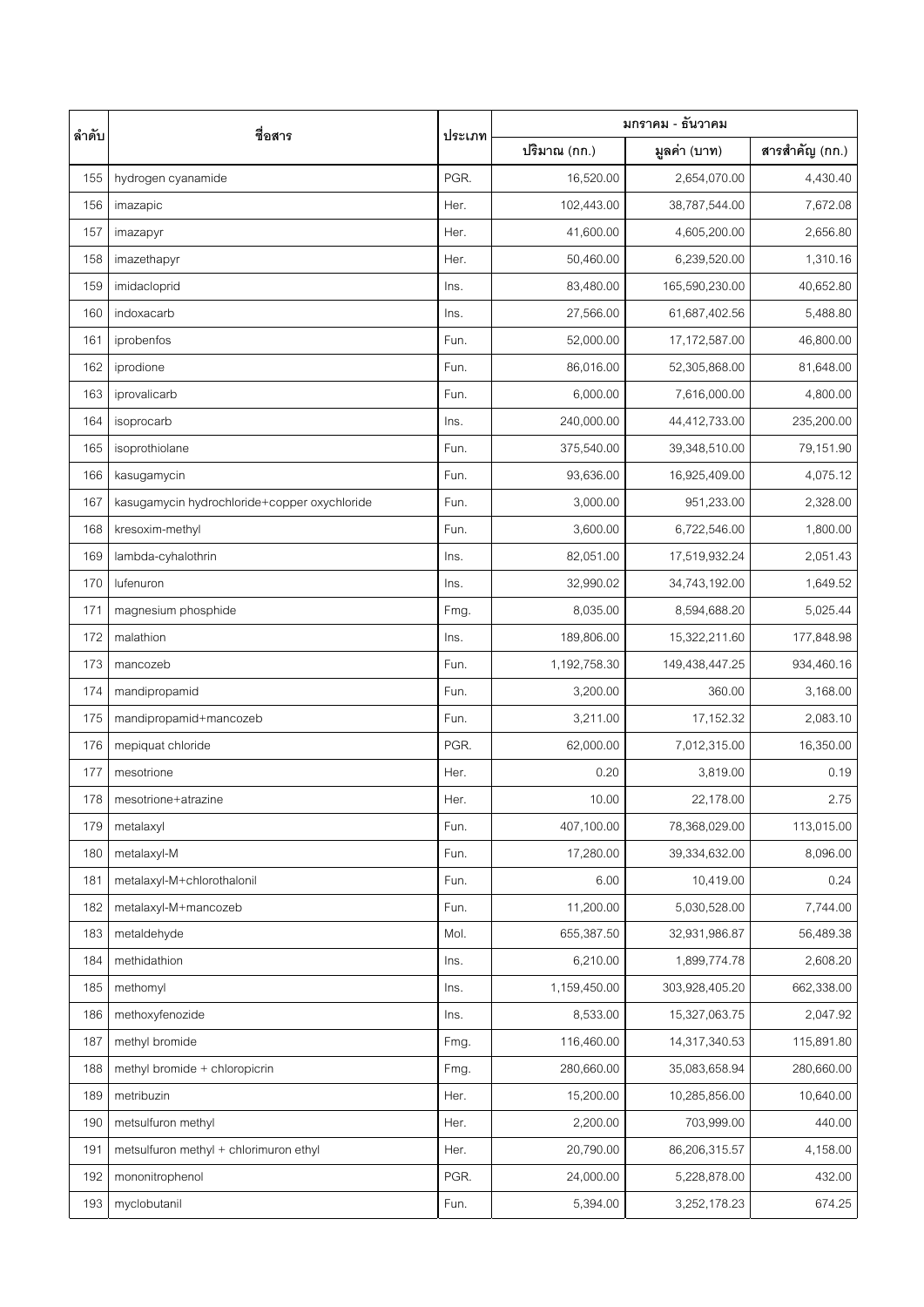| ลำดับ | ชื่อสาร                                      | ประเภท | มกราคม - ธันวาคม |                |                |
|-------|----------------------------------------------|--------|------------------|----------------|----------------|
|       |                                              |        | ปริมาณ (กก.)     | มูลค่า (บาท)   | สารสำคัญ (กก.) |
| 155   | hydrogen cyanamide                           | PGR.   | 16,520.00        | 2,654,070.00   | 4,430.40       |
| 156   | imazapic                                     | Her.   | 102,443.00       | 38,787,544.00  | 7,672.08       |
| 157   | imazapyr                                     | Her.   | 41,600.00        | 4,605,200.00   | 2,656.80       |
| 158   | imazethapyr                                  | Her.   | 50,460.00        | 6,239,520.00   | 1,310.16       |
| 159   | imidacloprid                                 | Ins.   | 83,480.00        | 165,590,230.00 | 40,652.80      |
| 160   | indoxacarb                                   | Ins.   | 27,566.00        | 61,687,402.56  | 5,488.80       |
| 161   | iprobenfos                                   | Fun.   | 52,000.00        | 17,172,587.00  | 46,800.00      |
| 162   | iprodione                                    | Fun.   | 86,016.00        | 52,305,868.00  | 81,648.00      |
| 163   | iprovalicarb                                 | Fun.   | 6,000.00         | 7,616,000.00   | 4,800.00       |
| 164   | isoprocarb                                   | Ins.   | 240,000.00       | 44,412,733.00  | 235,200.00     |
| 165   | isoprothiolane                               | Fun.   | 375,540.00       | 39,348,510.00  | 79,151.90      |
| 166   | kasugamycin                                  | Fun.   | 93,636.00        | 16,925,409.00  | 4,075.12       |
| 167   | kasugamycin hydrochloride+copper oxychloride | Fun.   | 3,000.00         | 951,233.00     | 2,328.00       |
| 168   | kresoxim-methyl                              | Fun.   | 3,600.00         | 6,722,546.00   | 1,800.00       |
| 169   | lambda-cyhalothrin                           | Ins.   | 82,051.00        | 17,519,932.24  | 2,051.43       |
| 170   | lufenuron                                    | Ins.   | 32,990.02        | 34,743,192.00  | 1,649.52       |
| 171   | magnesium phosphide                          | Fmg.   | 8,035.00         | 8,594,688.20   | 5,025.44       |
| 172   | malathion                                    | Ins.   | 189,806.00       | 15,322,211.60  | 177,848.98     |
| 173   | mancozeb                                     | Fun.   | 1,192,758.30     | 149,438,447.25 | 934,460.16     |
| 174   | mandipropamid                                | Fun.   | 3,200.00         | 360.00         | 3,168.00       |
| 175   | mandipropamid+mancozeb                       | Fun.   | 3,211.00         | 17,152.32      | 2,083.10       |
| 176   | mepiquat chloride                            | PGR.   | 62,000.00        | 7,012,315.00   | 16,350.00      |
| 177   | mesotrione                                   | Her.   | 0.20             | 3,819.00       | 0.19           |
| 178   | mesotrione+atrazine                          | Her.   | 10.00            | 22,178.00      | 2.75           |
| 179   | metalaxyl                                    | Fun.   | 407,100.00       | 78,368,029.00  | 113,015.00     |
| 180   | metalaxyl-M                                  | Fun.   | 17,280.00        | 39,334,632.00  | 8,096.00       |
| 181   | metalaxyl-M+chlorothalonil                   | Fun.   | 6.00             | 10,419.00      | 0.24           |
| 182   | metalaxyl-M+mancozeb                         | Fun.   | 11,200.00        | 5,030,528.00   | 7,744.00       |
| 183   | metaldehyde                                  | Mol.   | 655,387.50       | 32,931,986.87  | 56,489.38      |
| 184   | methidathion                                 | Ins.   | 6,210.00         | 1,899,774.78   | 2,608.20       |
| 185   | methomyl                                     | Ins.   | 1,159,450.00     | 303,928,405.20 | 662,338.00     |
| 186   | methoxyfenozide                              | Ins.   | 8,533.00         | 15,327,063.75  | 2,047.92       |
| 187   | methyl bromide                               | Fmg.   | 116,460.00       | 14,317,340.53  | 115,891.80     |
| 188   | methyl bromide + chloropicrin                | Fmg.   | 280,660.00       | 35,083,658.94  | 280,660.00     |
| 189   | metribuzin                                   | Her.   | 15,200.00        | 10,285,856.00  | 10,640.00      |
| 190   | metsulfuron methyl                           | Her.   | 2,200.00         | 703,999.00     | 440.00         |
| 191   | metsulfuron methyl + chlorimuron ethyl       | Her.   | 20,790.00        | 86,206,315.57  | 4,158.00       |
| 192   | mononitrophenol                              | PGR.   | 24,000.00        | 5,228,878.00   | 432.00         |
| 193   | myclobutanil                                 | Fun.   | 5,394.00         | 3,252,178.23   | 674.25         |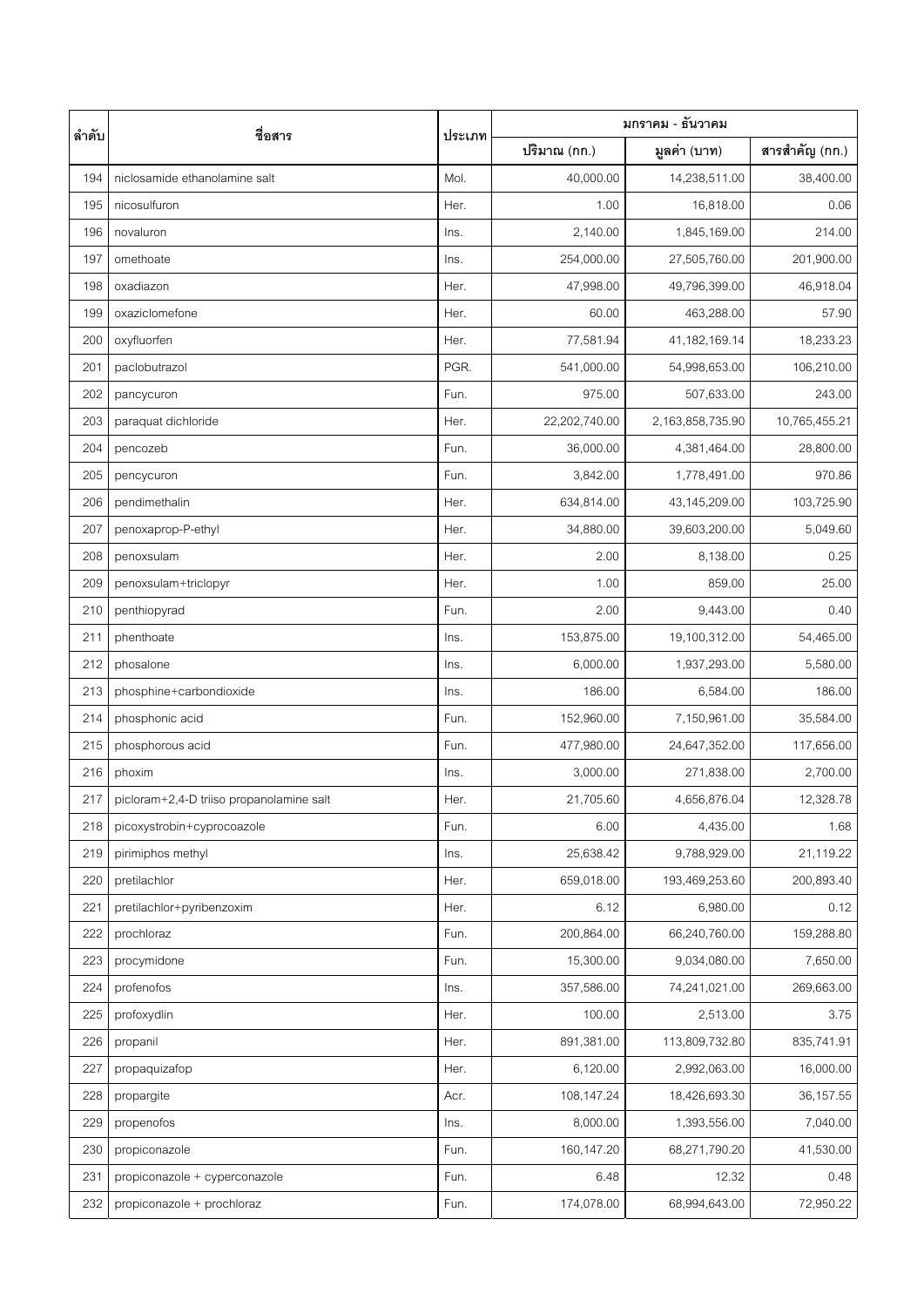| ลำดับ | ชื่อสาร                                  | ประเภท | มกราคม - ธันวาคม |                  |                |  |
|-------|------------------------------------------|--------|------------------|------------------|----------------|--|
|       |                                          |        | ปริมาณ (กก.)     | มูลค่า (บาท)     | สารสำคัญ (กก.) |  |
| 194   | niclosamide ethanolamine salt            | Mol.   | 40,000.00        | 14,238,511.00    | 38,400.00      |  |
| 195   | nicosulfuron                             | Her.   | 1.00             | 16,818.00        | 0.06           |  |
| 196   | novaluron                                | Ins.   | 2,140.00         | 1,845,169.00     | 214.00         |  |
| 197   | omethoate                                | Ins.   | 254,000.00       | 27,505,760.00    | 201,900.00     |  |
| 198   | oxadiazon                                | Her.   | 47,998.00        | 49,796,399.00    | 46,918.04      |  |
| 199   | oxaziclomefone                           | Her.   | 60.00            | 463,288.00       | 57.90          |  |
| 200   | oxyfluorfen                              | Her.   | 77,581.94        | 41,182,169.14    | 18,233.23      |  |
| 201   | paclobutrazol                            | PGR.   | 541,000.00       | 54,998,653.00    | 106,210.00     |  |
| 202   | pancycuron                               | Fun.   | 975.00           | 507,633.00       | 243.00         |  |
| 203   | paraquat dichloride                      | Her.   | 22,202,740.00    | 2,163,858,735.90 | 10,765,455.21  |  |
| 204   | pencozeb                                 | Fun.   | 36,000.00        | 4,381,464.00     | 28,800.00      |  |
| 205   | pencycuron                               | Fun.   | 3,842.00         | 1,778,491.00     | 970.86         |  |
| 206   | pendimethalin                            | Her.   | 634,814.00       | 43,145,209.00    | 103,725.90     |  |
| 207   | penoxaprop-P-ethyl                       | Her.   | 34,880.00        | 39,603,200.00    | 5,049.60       |  |
| 208   | penoxsulam                               | Her.   | 2.00             | 8,138.00         | 0.25           |  |
| 209   | penoxsulam+triclopyr                     | Her.   | 1.00             | 859.00           | 25.00          |  |
| 210   | penthiopyrad                             | Fun.   | 2.00             | 9,443.00         | 0.40           |  |
| 211   | phenthoate                               | Ins.   | 153,875.00       | 19,100,312.00    | 54,465.00      |  |
| 212   | phosalone                                | Ins.   | 6,000.00         | 1,937,293.00     | 5,580.00       |  |
| 213   | phosphine+carbondioxide                  | Ins.   | 186.00           | 6,584.00         | 186.00         |  |
| 214   | phosphonic acid                          | Fun.   | 152,960.00       | 7,150,961.00     | 35,584.00      |  |
| 215   | phosphorous acid                         | Fun.   | 477,980.00       | 24,647,352.00    | 117,656.00     |  |
| 216   | phoxim                                   | Ins.   | 3,000.00         | 271,838.00       | 2,700.00       |  |
| 217   | picloram+2,4-D triiso propanolamine salt | Her.   | 21,705.60        | 4,656,876.04     | 12,328.78      |  |
| 218   | picoxystrobin+cyprocoazole               | Fun.   | 6.00             | 4,435.00         | 1.68           |  |
| 219   | pirimiphos methyl                        | Ins.   | 25,638.42        | 9,788,929.00     | 21,119.22      |  |
| 220   | pretilachlor                             | Her.   | 659,018.00       | 193,469,253.60   | 200,893.40     |  |
| 221   | pretilachlor+pyribenzoxim                | Her.   | 6.12             | 6,980.00         | 0.12           |  |
| 222   | prochloraz                               | Fun.   | 200,864.00       | 66,240,760.00    | 159,288.80     |  |
| 223   | procymidone                              | Fun.   | 15,300.00        | 9,034,080.00     | 7,650.00       |  |
| 224   | profenofos                               | Ins.   | 357,586.00       | 74,241,021.00    | 269,663.00     |  |
| 225   | profoxydlin                              | Her.   | 100.00           | 2,513.00         | 3.75           |  |
| 226   | propanil                                 | Her.   | 891,381.00       | 113,809,732.80   | 835,741.91     |  |
| 227   | propaquizafop                            | Her.   | 6,120.00         | 2,992,063.00     | 16,000.00      |  |
| 228   | propargite                               | Acr.   | 108,147.24       | 18,426,693.30    | 36,157.55      |  |
| 229   | propenofos                               | Ins.   | 8,000.00         | 1,393,556.00     | 7,040.00       |  |
| 230   | propiconazole                            | Fun.   | 160,147.20       | 68,271,790.20    | 41,530.00      |  |
| 231   | propiconazole + cyperconazole            | Fun.   | 6.48             | 12.32            | 0.48           |  |
| 232   | propiconazole + prochloraz               | Fun.   | 174,078.00       | 68,994,643.00    | 72,950.22      |  |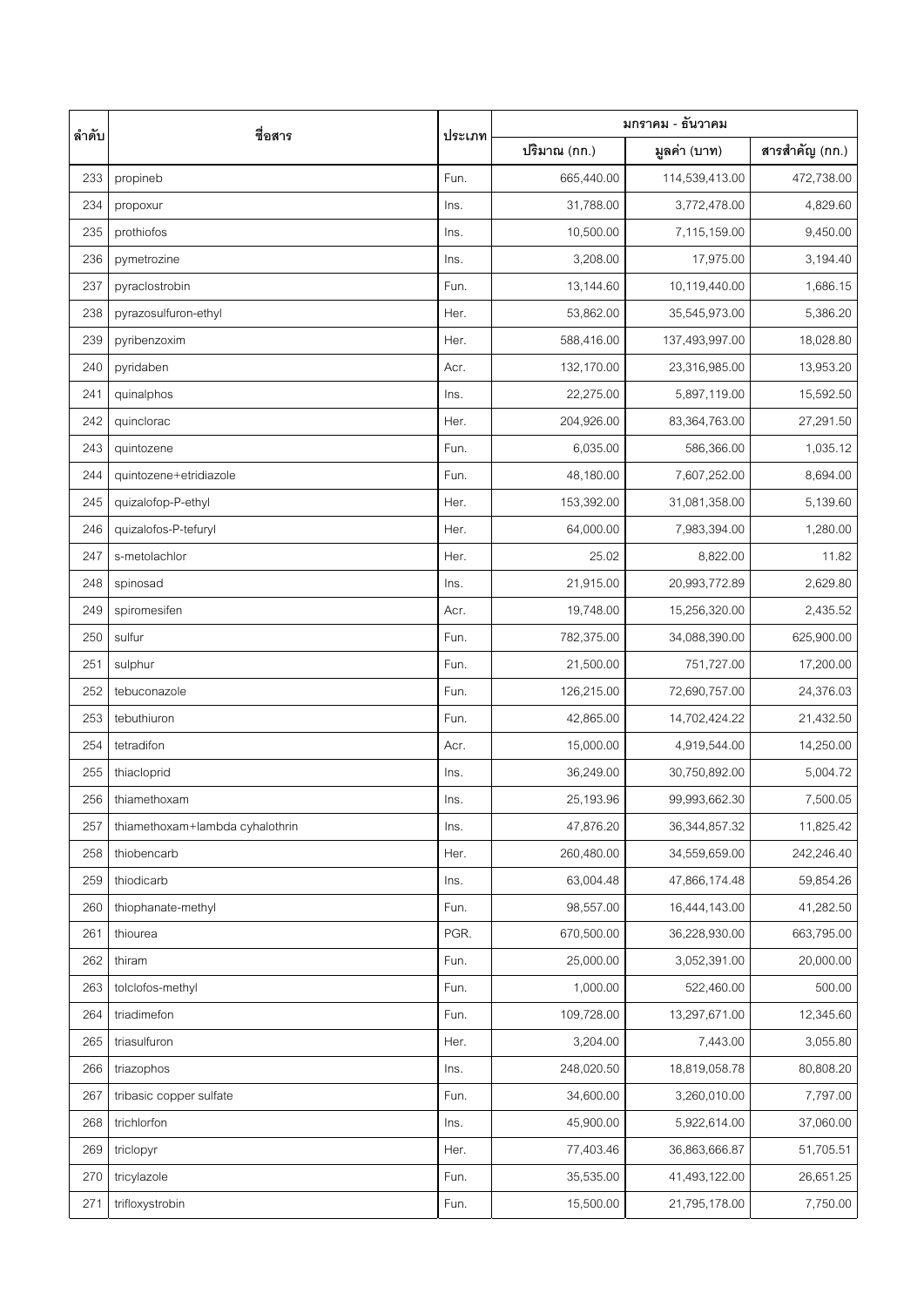| ลำดับ | ชื่อสาร                         | ประเภท | มกราคม - ธันวาคม |                  |                |
|-------|---------------------------------|--------|------------------|------------------|----------------|
|       |                                 |        | ปริมาณ (กก.)     | มูลค่า (บาท)     | สารสำคัญ (กก.) |
| 233   | propineb                        | Fun.   | 665,440.00       | 114,539,413.00   | 472,738.00     |
| 234   | propoxur                        | Ins.   | 31,788.00        | 3,772,478.00     | 4,829.60       |
| 235   | prothiofos                      | Ins.   | 10,500.00        | 7,115,159.00     | 9,450.00       |
| 236   | pymetrozine                     | Ins.   | 3,208.00         | 17,975.00        | 3,194.40       |
| 237   | pyraclostrobin                  | Fun.   | 13,144.60        | 10,119,440.00    | 1,686.15       |
| 238   | pyrazosulfuron-ethyl            | Her.   | 53,862.00        | 35,545,973.00    | 5,386.20       |
| 239   | pyribenzoxim                    | Her.   | 588,416.00       | 137,493,997.00   | 18,028.80      |
| 240   | pyridaben                       | Acr.   | 132,170.00       | 23,316,985.00    | 13,953.20      |
| 241   | quinalphos                      | Ins.   | 22,275.00        | 5,897,119.00     | 15,592.50      |
| 242   | quinclorac                      | Her.   | 204,926.00       | 83,364,763.00    | 27,291.50      |
| 243   | quintozene                      | Fun.   | 6,035.00         | 586,366.00       | 1,035.12       |
| 244   | quintozene+etridiazole          | Fun.   | 48,180.00        | 7,607,252.00     | 8,694.00       |
| 245   | quizalofop-P-ethyl              | Her.   | 153,392.00       | 31,081,358.00    | 5,139.60       |
| 246   | quizalofos-P-tefuryl            | Her.   | 64,000.00        | 7,983,394.00     | 1,280.00       |
| 247   | s-metolachlor                   | Her.   | 25.02            | 8,822.00         | 11.82          |
| 248   | spinosad                        | Ins.   | 21,915.00        | 20,993,772.89    | 2,629.80       |
| 249   | spiromesifen                    | Acr.   | 19,748.00        | 15,256,320.00    | 2,435.52       |
| 250   | sulfur                          | Fun.   | 782,375.00       | 34,088,390.00    | 625,900.00     |
| 251   | sulphur                         | Fun.   | 21,500.00        | 751,727.00       | 17,200.00      |
| 252   | tebuconazole                    | Fun.   | 126,215.00       | 72,690,757.00    | 24,376.03      |
| 253   | tebuthiuron                     | Fun.   | 42,865.00        | 14,702,424.22    | 21,432.50      |
| 254   | tetradifon                      | Acr.   | 15,000.00        | 4,919,544.00     | 14,250.00      |
| 255   | thiacloprid                     | Ins.   | 36,249.00        | 30,750,892.00    | 5,004.72       |
| 256   | thiamethoxam                    | Ins.   | 25,193.96        | 99,993,662.30    | 7,500.05       |
| 257   | thiamethoxam+lambda cyhalothrin | Ins.   | 47,876.20        | 36, 344, 857. 32 | 11,825.42      |
| 258   | thiobencarb                     | Her.   | 260,480.00       | 34,559,659.00    | 242,246.40     |
| 259   | thiodicarb                      | Ins.   | 63,004.48        | 47,866,174.48    | 59,854.26      |
| 260   | thiophanate-methyl              | Fun.   | 98,557.00        | 16,444,143.00    | 41,282.50      |
| 261   | thiourea                        | PGR.   | 670,500.00       | 36,228,930.00    | 663,795.00     |
| 262   | thiram                          | Fun.   | 25,000.00        | 3,052,391.00     | 20,000.00      |
| 263   | tolclofos-methyl                | Fun.   | 1,000.00         | 522,460.00       | 500.00         |
| 264   | triadimefon                     | Fun.   | 109,728.00       | 13,297,671.00    | 12,345.60      |
| 265   | triasulfuron                    | Her.   | 3,204.00         | 7,443.00         | 3,055.80       |
| 266   | triazophos                      | Ins.   | 248,020.50       | 18,819,058.78    | 80,808.20      |
| 267   | tribasic copper sulfate         | Fun.   | 34,600.00        | 3,260,010.00     | 7,797.00       |
| 268   | trichlorfon                     | Ins.   | 45,900.00        | 5,922,614.00     | 37,060.00      |
| 269   | triclopyr                       | Her.   | 77,403.46        | 36,863,666.87    | 51,705.51      |
| 270   | tricylazole                     | Fun.   | 35,535.00        | 41,493,122.00    | 26,651.25      |
| 271   | trifloxystrobin                 | Fun.   | 15,500.00        | 21,795,178.00    | 7,750.00       |